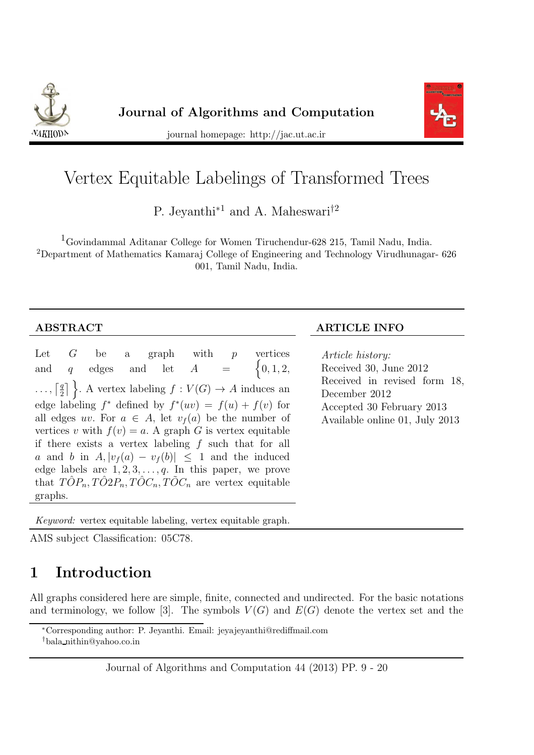



journal homepage: http://jac.ut.ac.ir

# Vertex Equitable Labelings of Transformed Trees

P. Jeyanthi<sup>∗1</sup> and A. Maheswari<sup>†2</sup>

<sup>1</sup>Govindammal Aditanar College for Women Tiruchendur-628 215, Tamil Nadu, India. <sup>2</sup>Department of Mathematics Kamaraj College of Engineering and Technology Virudhunagar- 626 001, Tamil Nadu, India.

Let  $G$  be a graph with  $p$  vertices and  $q$  edges and let  $A =$  $\{0, 1, 2,$  $\ldots, \lceil \frac{q}{2} \rceil$  $\left\{ \frac{q}{2} \right\}$ . A vertex labeling  $f: V(G) \to A$  induces an edge labeling  $f^*$  defined by  $f^*(uv) = f(u) + f(v)$  for all edges uv. For  $a \in A$ , let  $v_f(a)$  be the number of vertices v with  $f(v) = a$ . A graph G is vertex equitable if there exists a vertex labeling  $f$  such that for all a and b in  $A, |v_f(a) - v_f(b)| < 1$  and the induced edge labels are  $1, 2, 3, \ldots, q$ . In this paper, we prove that  $T\hat{O}P_n, T\hat{O}2P_n, T\hat{O}C_n, T\tilde{O}C_n$  are vertex equitable graphs.

#### ABSTRACT ARTICLE INFO

*Article history:* Received 30, June 2012 Received in revised form 18, December 2012 Accepted 30 February 2013 Available online 01, July 2013

Keyword: vertex equitable labeling, vertex equitable graph.

AMS subject Classification: 05C78.

## 1 Introduction

All graphs considered here are simple, finite, connected and undirected. For the basic notations and terminology, we follow [3]. The symbols  $V(G)$  and  $E(G)$  denote the vertex set and the

<sup>∗</sup>Corresponding author: P. Jeyanthi. Email: jeyajeyanthi@rediffmail.com

<sup>†</sup>bala nithin@yahoo.co.in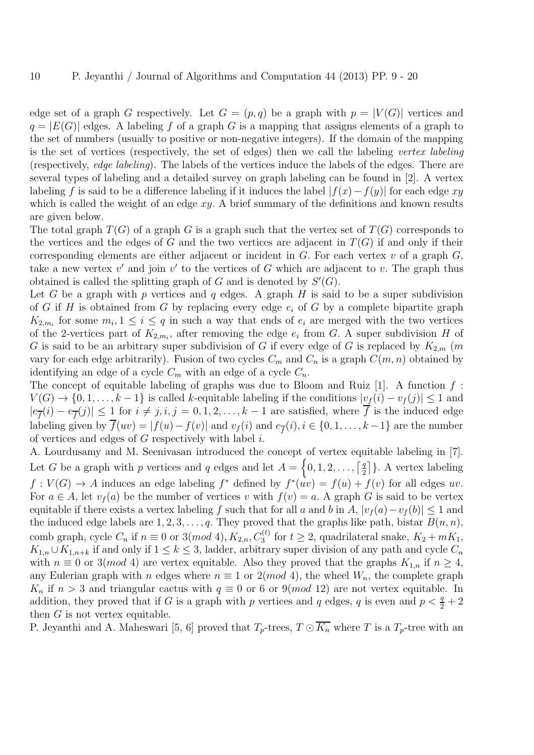edge set of a graph G respectively. Let  $G = (p, q)$  be a graph with  $p = |V(G)|$  vertices and  $q = |E(G)|$  edges. A labeling f of a graph G is a mapping that assigns elements of a graph to the set of numbers (usually to positive or non-negative integers). If the domain of the mapping is the set of vertices (respectively, the set of edges) then we call the labeling *vertex labeling* (respectively, *edge labeling*). The labels of the vertices induce the labels of the edges. There are several types of labeling and a detailed survey on graph labeling can be found in [2]. A vertex labeling f is said to be a difference labeling if it induces the label  $|f(x)-f(y)|$  for each edge xy which is called the weight of an edge  $xy$ . A brief summary of the definitions and known results are given below.

The total graph  $T(G)$  of a graph G is a graph such that the vertex set of  $T(G)$  corresponds to the vertices and the edges of G and the two vertices are adjacent in  $T(G)$  if and only if their corresponding elements are either adjacent or incident in  $G$ . For each vertex  $v$  of a graph  $G$ , take a new vertex  $v'$  and join  $v'$  to the vertices of G which are adjacent to v. The graph thus obtained is called the splitting graph of G and is denoted by  $S'(G)$ .

Let G be a graph with p vertices and q edges. A graph H is said to be a super subdivision of G if H is obtained from G by replacing every edge  $e_i$  of G by a complete bipartite graph  $K_{2,m_i}$  for some  $m_i, 1 \leq i \leq q$  in such a way that ends of  $e_i$  are merged with the two vertices of the 2-vertices part of  $K_{2,m_i}$ , after removing the edge  $e_i$  from G. A super subdivision H of G is said to be an arbitrary super subdivision of G if every edge of G is replaced by  $K_{2,m}$  (m vary for each edge arbitrarily). Fusion of two cycles  $C_m$  and  $C_n$  is a graph  $C(m, n)$  obtained by identifying an edge of a cycle  $C_m$  with an edge of a cycle  $C_n$ .

The concept of equitable labeling of graphs was due to Bloom and Ruiz  $[1]$ . A function  $f$ :  $V(G) \to \{0, 1, \ldots, k-1\}$  is called k-equitable labeling if the conditions  $|v_f(i) - v_f(j)| \leq 1$  and  $|e_{\overline{f}}(i) - e_{\overline{f}}(j)| \leq 1$  for  $i \neq j, i, j = 0, 1, 2, \ldots, k-1$  are satisfied, where f is the induced edge labeling given by  $f(uv) = |f(u) - f(v)|$  and  $v_f(i)$  and  $e_{\overline{f}}(i), i \in \{0, 1, ..., k-1\}$  are the number of vertices and edges of  $G$  respectively with label  $i$ .

A. Lourdusamy and M. Seenivasan introduced the concept of vertex equitable labeling in [7]. Let G be a graph with p vertices and q edges and let  $A = \{0, 1, 2, \ldots, \lceil \frac{q}{2} \rceil \}$  $\left[\frac{q}{2}\right]$ . A vertex labeling  $f: V(G) \to A$  induces an edge labeling  $f^*$  defined by  $f^*(uv) = f(u) + f(v)$  for all edges uv. For  $a \in A$ , let  $v_f(a)$  be the number of vertices v with  $f(v) = a$ . A graph G is said to be vertex equitable if there exists a vertex labeling f such that for all a and b in A,  $|v_f(a)-v_f(b)| \leq 1$  and the induced edge labels are  $1, 2, 3, \ldots, q$ . They proved that the graphs like path, bistar  $B(n, n)$ , comb graph, cycle  $C_n$  if  $n \equiv 0$  or 3(mod 4),  $K_{2,n}$ ,  $C_3^{(t)}$  for  $t \geq 2$ , quadrilateral snake,  $K_2 + mK_1$ ,  $K_{1,n} \cup K_{1,n+k}$  if and only if  $1 \leq k \leq 3$ , ladder, arbitrary super division of any path and cycle  $C_n$ with  $n \equiv 0$  or 3(*mod* 4) are vertex equitable. Also they proved that the graphs  $K_{1,n}$  if  $n \geq 4$ , any Eulerian graph with n edges where  $n \equiv 1$  or  $2(mod 4)$ , the wheel  $W_n$ , the complete graph  $K_n$  if  $n > 3$  and triangular cactus with  $q \equiv 0$  or 6 or 9(mod 12) are not vertex equitable. In addition, they proved that if G is a graph with p vertices and q edges, q is even and  $p < \frac{q}{2} + 2$ then  $G$  is not vertex equitable.

P. Jeyanthi and A. Maheswari [5, 6] proved that  $T_p$ -trees,  $T \odot \overline{K_n}$  where T is a  $T_p$ -tree with an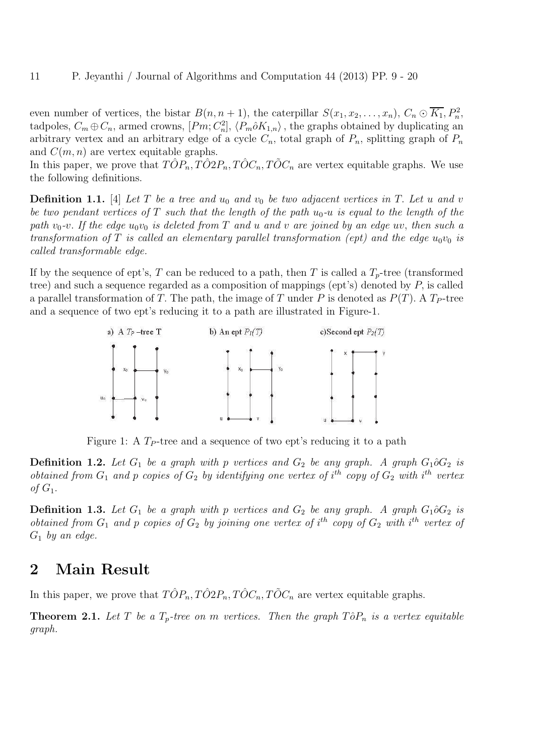even number of vertices, the bistar  $B(n, n + 1)$ , the caterpillar  $S(x_1, x_2, \ldots, x_n)$ ,  $C_n \odot \overline{K_1}$ ,  $P_n^2$ , tadpoles,  $C_m \oplus C_n$ , armed crowns,  $[Pm; C_n^2]$ ,  $\langle P_m \hat{o} K_{1,n} \rangle$ , the graphs obtained by duplicating an arbitrary vertex and an arbitrary edge of a cycle  $C_n$ , total graph of  $P_n$ , splitting graph of  $P_n$ and  $C(m, n)$  are vertex equitable graphs.

In this paper, we prove that  $T\hat{O}P_n, T\hat{O}2P_n, T\hat{O}C_n, T\tilde{O}C_n$  are vertex equitable graphs. We use the following definitions.

**Definition 1.1.** [4] Let T be a tree and  $u_0$  and  $v_0$  be two adjacent vertices in T. Let u and v *be two pendant vertices of* T *such that the length of the path* u0*-*u *is equal to the length of the* path  $v_0$ -v. If the edge  $u_0v_0$  is deleted from T and u and v are joined by an edge uv, then such a *transformation of* T *is called an elementary parallel transformation (ept) and the edge*  $u_0v_0$  *is called transformable edge.*

If by the sequence of ept's, T can be reduced to a path, then T is called a  $T_p$ -tree (transformed tree) and such a sequence regarded as a composition of mappings (ept's) denoted by P, is called a parallel transformation of T. The path, the image of T under P is denoted as  $P(T)$ . A  $T_P$ -tree and a sequence of two ept's reducing it to a path are illustrated in Figure-1.



Figure 1: A  $T_P$ -tree and a sequence of two ept's reducing it to a path

**Definition 1.2.** Let  $G_1$  be a graph with p vertices and  $G_2$  be any graph. A graph  $G_1 \partial G_2$  is *obtained from*  $G_1$  *and*  $p$  *copies of*  $G_2$  *by identifying one vertex of*  $i^{th}$  *copy of*  $G_2$  *with*  $i^{th}$  *vertex*  $of G_1$ .

**Definition 1.3.** Let  $G_1$  be a graph with p vertices and  $G_2$  be any graph. A graph  $G_1 \partial G_2$  is *obtained from*  $G_1$  *and*  $p$  *copies of*  $G_2$  *by joining one vertex of*  $i^{th}$  *copy of*  $G_2$  *with*  $i^{th}$  *vertex of*  $G_1$  *by an edge.* 

#### 2 Main Result

In this paper, we prove that  $T\hat{O}P_n, T\hat{O}2P_n, T\hat{O}C_n, T\tilde{O}C_n$  are vertex equitable graphs.

**Theorem 2.1.** Let T be a  $T_p$ -tree on m vertices. Then the graph  $T\hat{o}P_n$  is a vertex equitable *graph.*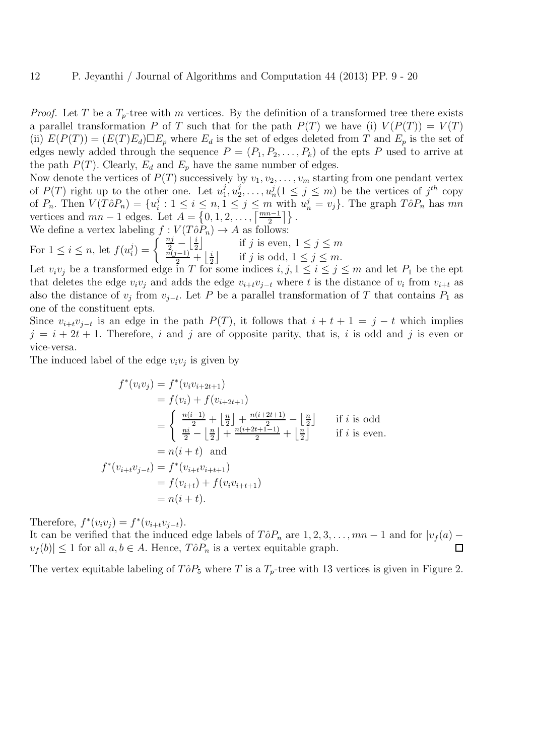*Proof.* Let T be a  $T_p$ -tree with m vertices. By the definition of a transformed tree there exists a parallel transformation P of T such that for the path  $P(T)$  we have (i)  $V(P(T)) = V(T)$ (ii)  $E(P(T)) = (E(T)E_d) \square E_p$  where  $E_d$  is the set of edges deleted from T and  $E_p$  is the set of edges newly added through the sequence  $P = (P_1, P_2, \ldots, P_k)$  of the epts P used to arrive at the path  $P(T)$ . Clearly,  $E_d$  and  $E_p$  have the same number of edges.

Now denote the vertices of  $P(T)$  successively by  $v_1, v_2, \ldots, v_m$  starting from one pendant vertex of  $P(T)$  right up to the other one. Let  $u_1^j$  $j\overline{_{1}},u_{2}^{j}$  $u_2^j, \ldots, u_n^j (1 \leq j \leq m)$  be the vertices of  $j^{th}$  copy of  $P_n$ . Then  $V(T\hat{o}P_n) = \{u_i^j\}$  $i: 1 \leq i \leq n, 1 \leq j \leq m$  with  $u_n^j = v_j$ . The graph  $T \hat{\sigma} P_n$  has  $mn$ vertices and  $mn-1$  edges. Let  $A = \{0, 1, 2, \ldots, \left\lceil \frac{mn-1}{2} \right\rceil \}$ .

We define a vertex labeling 
$$
f : V(T\hat{o}P_n) \to A
$$
 as follows:  
For  $1 \le i \le n$ , let  $f(u_i^j) = \begin{cases} \frac{n_j}{2} - \left\lfloor \frac{i}{2} \right\rfloor & \text{if } j \text{ is even, } 1 \le j \le m \\ \frac{n(j-1)}{2} + \left\lfloor \frac{i}{2} \right\rfloor & \text{if } j \text{ is odd, } 1 \le j \le m. \end{cases}$ 

Let  $v_i v_j$  be a transformed edge in T for some indices  $i, j, 1 \le i \le j \le m$  and let  $P_1$  be the ept that deletes the edge  $v_i v_j$  and adds the edge  $v_{i+t} v_{j-t}$  where t is the distance of  $v_i$  from  $v_{i+t}$  as also the distance of  $v_j$  from  $v_{j-t}$ . Let P be a parallel transformation of T that contains  $P_1$  as one of the constituent epts.

Since  $v_{i+t}v_{j-t}$  is an edge in the path  $P(T)$ , it follows that  $i + t + 1 = j - t$  which implies  $j = i + 2t + 1$ . Therefore, i and j are of opposite parity, that is, i is odd and j is even or vice-versa.

The induced label of the edge  $v_i v_j$  is given by

$$
f^*(v_i v_j) = f^*(v_i v_{i+2t+1})
$$
  
=  $f(v_i) + f(v_{i+2t+1})$   
=  $\begin{cases} \frac{n(i-1)}{2} + \left[\frac{n}{2}\right] + \frac{n(i+2t+1)}{2} - \left[\frac{n}{2}\right] & \text{if } i \text{ is odd} \\ \frac{n i}{2} - \left[\frac{n}{2}\right] + \frac{n(i+2t+1-1)}{2} + \left[\frac{n}{2}\right] & \text{if } i \text{ is even.} \end{cases}$   
=  $n(i+t)$  and  

$$
f^*(v_{i+t}v_{j-t}) = f^*(v_{i+t}v_{i+t+1})
$$
  
=  $f(v_{i+t}) + f(v_i v_{i+t+1})$   
=  $n(i+t).$ 

Therefore,  $f^*(v_i v_j) = f^*(v_{i+t}v_{j-t}).$ 

It can be verified that the induced edge labels of  $T\hat{o}P_n$  are  $1, 2, 3, \ldots, mn-1$  and for  $|v_f(a)$  $v_f(b)| \leq 1$  for all  $a, b \in A$ . Hence,  $T \hat{o} P_n$  is a vertex equitable graph.  $\Box$ 

The vertex equitable labeling of  $T\hat{o}P_5$  where T is a  $T_p$ -tree with 13 vertices is given in Figure 2.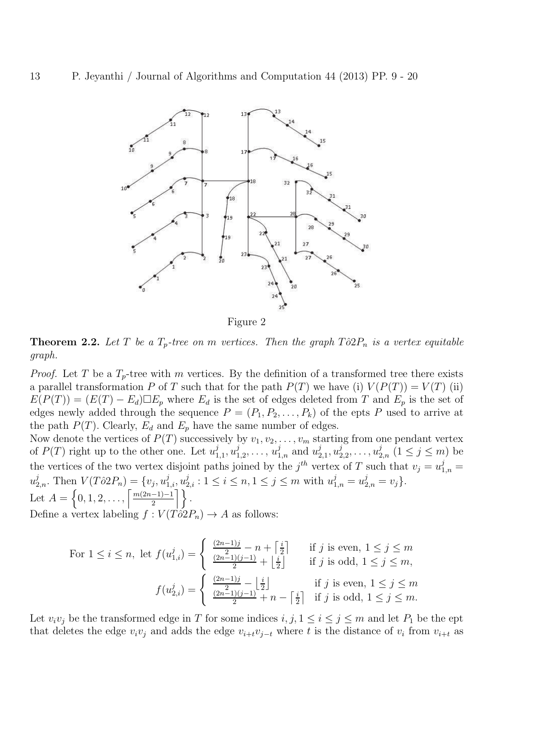

Figure 2

**Theorem 2.2.** Let T be a  $T_p$ -tree on m vertices. Then the graph  $T\hat{o}2P_n$  is a vertex equitable *graph.*

*Proof.* Let T be a  $T_p$ -tree with m vertices. By the definition of a transformed tree there exists a parallel transformation P of T such that for the path  $P(T)$  we have (i)  $V(P(T)) = V(T)$  (ii)  $E(P(T)) = (E(T) - E_d) \Box E_p$  where  $E_d$  is the set of edges deleted from T and  $E_p$  is the set of edges newly added through the sequence  $P = (P_1, P_2, \ldots, P_k)$  of the epts P used to arrive at the path  $P(T)$ . Clearly,  $E_d$  and  $E_p$  have the same number of edges.

Now denote the vertices of  $P(T)$  successively by  $v_1, v_2, \ldots, v_m$  starting from one pendant vertex of  $P(T)$  right up to the other one. Let  $u_1^j$  $\frac{j}{1,1}, u^{j}_{1}$  $u_{1,2}^j, \ldots, u_{1,n}^j$  and  $u_2^j$  $_{2,1}^{j},u_{2}^{j}$  $u_{2,2}^j, \ldots, u_{2,n}^j \ (1 \leq j \leq m)$  be the vertices of the two vertex disjoint paths joined by the  $j^{th}$  vertex of T such that  $v_j = u_{1,n}^j =$  $u_{2,n}^j$ . Then  $V(T\partial 2P_n) = \{v_j, u_{1,i}^j, u_{2,i}^j : 1 \le i \le n, 1 \le j \le m \text{ with } u_{1,n}^j = u_{2,n}^j = v_j\}.$ 

Let 
$$
A = \{0, 1, 2, ..., \left\lceil \frac{m(2n-1)-1}{2} \right\rceil \}.
$$

Define a vertex labeling  $f : V(T\partial 2P_n) \to A$  as follows:

For 
$$
1 \le i \le n
$$
, let  $f(u_{1,i}^j) = \begin{cases} \frac{(2n-1)j}{2} - n + \left[\frac{i}{2}\right] & \text{if } j \text{ is even, } 1 \le j \le m \\ \frac{(2n-1)(j-1)}{2} + \left[\frac{i}{2}\right] & \text{if } j \text{ is odd, } 1 \le j \le m, \end{cases}$   

$$
f(u_{2,i}^j) = \begin{cases} \frac{(2n-1)j}{2} - \left[\frac{i}{2}\right] & \text{if } j \text{ is even, } 1 \le j \le m \\ \frac{(2n-1)(j-1)}{2} + n - \left[\frac{i}{2}\right] & \text{if } j \text{ is odd, } 1 \le j \le m. \end{cases}
$$

Let  $v_i v_j$  be the transformed edge in T for some indices  $i, j, 1 \le i \le j \le m$  and let  $P_1$  be the ept that deletes the edge  $v_i v_j$  and adds the edge  $v_{i+t} v_{j-t}$  where t is the distance of  $v_i$  from  $v_{i+t}$  as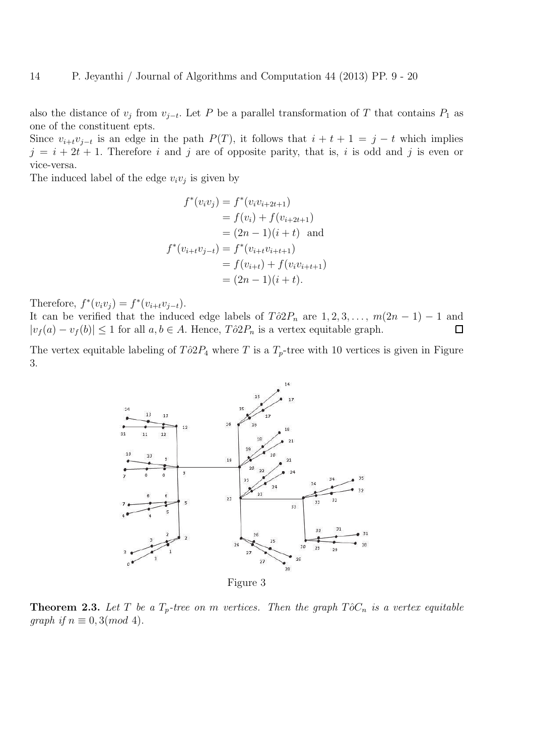also the distance of  $v_j$  from  $v_{j-t}$ . Let P be a parallel transformation of T that contains  $P_1$  as one of the constituent epts.

Since  $v_{i+t}v_{j-t}$  is an edge in the path  $P(T)$ , it follows that  $i + t + 1 = j - t$  which implies  $j = i + 2t + 1$ . Therefore i and j are of opposite parity, that is, i is odd and j is even or vice-versa.

The induced label of the edge  $v_i v_j$  is given by

$$
f^*(v_i v_j) = f^*(v_i v_{i+2t+1})
$$
  
=  $f(v_i) + f(v_{i+2t+1})$   
=  $(2n - 1)(i + t)$  and  

$$
f^*(v_{i+t}v_{j-t}) = f^*(v_{i+t}v_{i+t+1})
$$
  
=  $f(v_{i+t}) + f(v_i v_{i+t+1})$   
=  $(2n - 1)(i + t).$ 

Therefore,  $f^*(v_i v_j) = f^*(v_{i+t} v_{j-t}).$ 

It can be verified that the induced edge labels of  $T\hat{o}2P_n$  are  $1, 2, 3, \ldots, m(2n-1) - 1$  and  $|v_f(a) - v_f(b)| \leq 1$  for all  $a, b \in A$ . Hence,  $T\partial 2P_n$  is a vertex equitable graph.  $\Box$ 

The vertex equitable labeling of  $T\partial 2P_4$  where T is a  $T_p$ -tree with 10 vertices is given in Figure 3.



**Theorem 2.3.** Let T be a  $T_p$ -tree on m vertices. Then the graph  $T\hat{o}C_n$  is a vertex equitable *graph if*  $n \equiv 0, 3 \pmod{4}$ .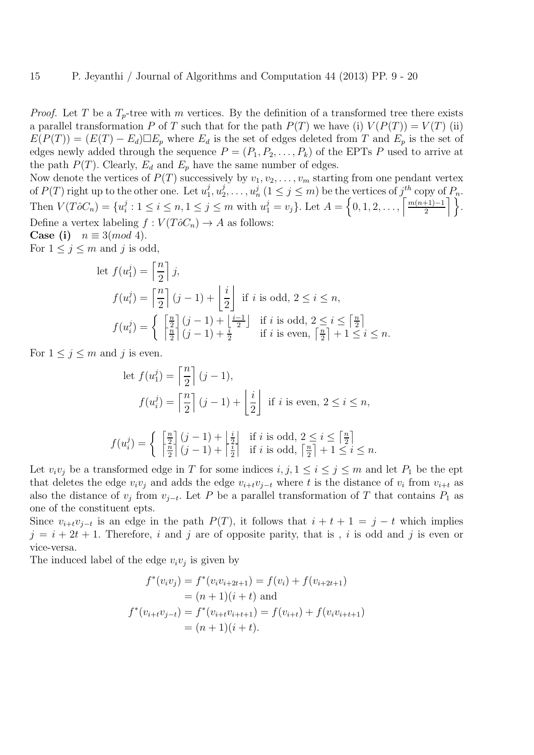*Proof.* Let T be a  $T_p$ -tree with m vertices. By the definition of a transformed tree there exists a parallel transformation P of T such that for the path  $P(T)$  we have (i)  $V(P(T)) = V(T)$  (ii)  $E(P(T)) = (E(T) - E_d) \Box E_p$  where  $E_d$  is the set of edges deleted from T and  $E_p$  is the set of edges newly added through the sequence  $P = (P_1, P_2, \ldots, P_k)$  of the EPTs P used to arrive at the path  $P(T)$ . Clearly,  $E_d$  and  $E_p$  have the same number of edges.

Now denote the vertices of  $P(T)$  successively by  $v_1, v_2, \ldots, v_m$  starting from one pendant vertex of  $P(T)$  right up to the other one. Let  $u_1^j$  $j, u_2^j$  $u_2^j, \ldots, u_n^j$   $(1 \leq j \leq m)$  be the vertices of  $j_{-}^{th}$  copy of  $P_n$ . Then  $V(T\hat{o}C_n) = \{u_i^j\}$  $i: 1 \leq i \leq n, 1 \leq j \leq m$  with  $u_1^j = v_j$ . Let  $A = \left\{0, 1, 2, \ldots, \left\lceil \frac{m(n+1)-1}{2} \right\rceil \right\}$  $\frac{+1)-1}{2}$  }. Define a vertex labeling  $f: V(T\hat{o}C_n) \to A$  as follows:

Case (i)  $n \equiv 3 \pmod{4}$ .

For  $1 \leq j \leq m$  and j is odd,

let 
$$
f(u_1^j) = \left\lceil \frac{n}{2} \right\rceil j
$$
,  
\n
$$
f(u_i^j) = \left\lceil \frac{n}{2} \right\rceil (j-1) + \left\lfloor \frac{i}{2} \right\rfloor \text{ if } i \text{ is odd, } 2 \le i \le n,
$$
\n
$$
f(u_i^j) = \left\{ \begin{array}{c} \left\lceil \frac{n}{2} \right\rceil (j-1) + \left\lfloor \frac{i-1}{2} \right\rfloor & \text{if } i \text{ is odd, } 2 \le i \le \left\lceil \frac{n}{2} \right\rceil \\ \left\lceil \frac{n}{2} \right\rceil (j-1) + \frac{i}{2} & \text{if } i \text{ is even, } \left\lceil \frac{n}{2} \right\rceil + 1 \le i \le n. \end{array} \right.
$$

For  $1 \leq j \leq m$  and j is even.

let 
$$
f(u_1^j) = \left\lceil \frac{n}{2} \right\rceil (j-1),
$$
  
\n
$$
f(u_i^j) = \left\lceil \frac{n}{2} \right\rceil (j-1) + \left\lfloor \frac{i}{2} \right\rfloor \text{ if } i \text{ is even, } 2 \le i \le n,
$$
\n
$$
f(u_i^j) = \begin{cases} \left\lceil \frac{n}{2} \right\rceil (j-1) + \left\lfloor \frac{i}{2} \right\rfloor & \text{if } i \text{ is odd, } 2 \le i \le \left\lceil \frac{n}{2} \right\rceil \\ \left\lceil \frac{n}{2} \right\rceil (j-1) + \left\lceil \frac{i}{2} \right\rceil & \text{if } i \text{ is odd, } \left\lceil \frac{n}{2} \right\rceil + 1 \le i \le n. \end{cases}
$$

Let  $v_i v_j$  be a transformed edge in T for some indices  $i, j, 1 \le i \le j \le m$  and let  $P_1$  be the ept that deletes the edge  $v_i v_j$  and adds the edge  $v_{i+t} v_{j-t}$  where t is the distance of  $v_i$  from  $v_{i+t}$  as also the distance of  $v_j$  from  $v_{j-t}$ . Let P be a parallel transformation of T that contains  $P_1$  as one of the constituent epts.

Since  $v_{i+t}v_{j-t}$  is an edge in the path  $P(T)$ , it follows that  $i + t + 1 = j - t$  which implies  $j = i + 2t + 1$ . Therefore, i and j are of opposite parity, that is, i is odd and j is even or vice-versa.

The induced label of the edge  $v_i v_j$  is given by

$$
f^*(v_i v_j) = f^*(v_i v_{i+2t+1}) = f(v_i) + f(v_{i+2t+1})
$$
  
=  $(n + 1)(i + t)$  and  

$$
f^*(v_{i+t} v_{j-t}) = f^*(v_{i+t} v_{i+t+1}) = f(v_{i+t}) + f(v_i v_{i+t+1})
$$
  
=  $(n + 1)(i + t).$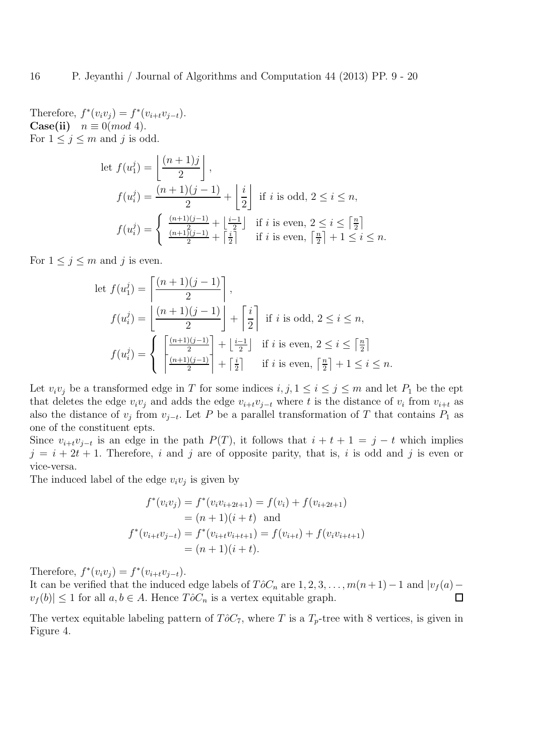Therefore,  $f^*(v_i v_j) = f^*(v_{i+t} v_{j-t}).$ **Case(ii)**  $n \equiv 0 \pmod{4}$ . For  $1 \leq j \leq m$  and j is odd.

let 
$$
f(u_1^j) = \left\lfloor \frac{(n+1)j}{2} \right\rfloor
$$
,  
\n
$$
f(u_i^j) = \frac{(n+1)(j-1)}{2} + \left\lfloor \frac{i}{2} \right\rfloor \text{ if } i \text{ is odd, } 2 \le i \le n,
$$
\n
$$
f(u_i^j) = \begin{cases} \frac{(n+1)(j-1)}{2} + \left\lfloor \frac{i-1}{2} \right\rfloor & \text{if } i \text{ is even, } 2 \le i \le \left\lceil \frac{n}{2} \right\rceil \\ \frac{(n+1)(j-1)}{2} + \left\lceil \frac{i}{2} \right\rceil & \text{if } i \text{ is even, } \left\lceil \frac{n}{2} \right\rceil + 1 \le i \le n. \end{cases}
$$

For  $1 \leq j \leq m$  and j is even.

let 
$$
f(u_1^j) = \left[ \frac{(n+1)(j-1)}{2} \right],
$$
  
\n
$$
f(u_i^j) = \left[ \frac{(n+1)(j-1)}{2} \right] + \left[ \frac{i}{2} \right] \text{ if } i \text{ is odd, } 2 \le i \le n,
$$
\n
$$
f(u_i^j) = \left\{ \left[ \frac{\frac{(n+1)(j-1)}{2}}{\frac{(n+1)(j-1)}{2}} \right] + \left[ \frac{i-1}{2} \right] \text{ if } i \text{ is even, } 2 \le i \le \left[ \frac{n}{2} \right] \right\}
$$
\n
$$
f(u_i^j) = \left\{ \left[ \frac{(n+1)(j-1)}{2} \right] + \left[ \frac{i}{2} \right] \text{ if } i \text{ is even, } \left[ \frac{n}{2} \right] + 1 \le i \le n.
$$

Let  $v_i v_j$  be a transformed edge in T for some indices  $i, j, 1 \le i \le j \le m$  and let  $P_1$  be the ept that deletes the edge  $v_i v_j$  and adds the edge  $v_{i+t} v_{j-t}$  where t is the distance of  $v_i$  from  $v_{i+t}$  as also the distance of  $v_j$  from  $v_{j-t}$ . Let P be a parallel transformation of T that contains  $P_1$  as one of the constituent epts.

Since  $v_{i+t}v_{j-t}$  is an edge in the path  $P(T)$ , it follows that  $i + t + 1 = j - t$  which implies  $j = i + 2t + 1$ . Therefore, i and j are of opposite parity, that is, i is odd and j is even or vice-versa.

The induced label of the edge  $v_i v_j$  is given by

$$
f^*(v_i v_j) = f^*(v_i v_{i+2t+1}) = f(v_i) + f(v_{i+2t+1})
$$
  
=  $(n + 1)(i + t)$  and  

$$
f^*(v_{i+t}v_{j-t}) = f^*(v_{i+t}v_{i+t+1}) = f(v_{i+t}) + f(v_i v_{i+t+1})
$$
  
=  $(n + 1)(i + t).$ 

Therefore,  $f^*(v_i v_j) = f^*(v_{i+t} v_{j-t}).$ 

It can be verified that the induced edge labels of  $T\hat{o}C_n$  are  $1, 2, 3, \ldots, m(n+1)-1$  and  $|v_f(a)$  $v_f(b)| \leq 1$  for all  $a, b \in A$ . Hence  $T\hat{o}C_n$  is a vertex equitable graph.  $\Box$ 

The vertex equitable labeling pattern of  $T\hat{o}C_7$ , where T is a  $T_p$ -tree with 8 vertices, is given in Figure 4.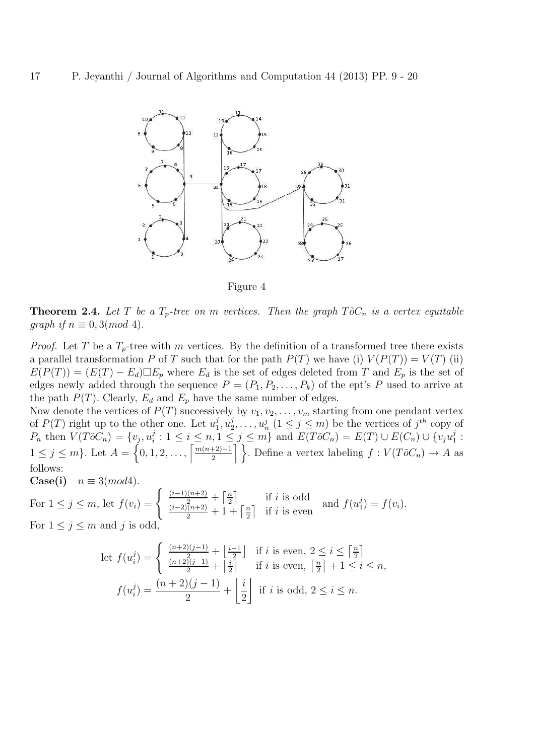

Figure 4

**Theorem 2.4.** Let T be a  $T_p$ -tree on m vertices. Then the graph  $T\tilde{o}C_n$  is a vertex equitable *graph if*  $n \equiv 0, 3 \pmod{4}$ .

*Proof.* Let T be a  $T_p$ -tree with m vertices. By the definition of a transformed tree there exists a parallel transformation P of T such that for the path  $P(T)$  we have (i)  $V(P(T)) = V(T)$  (ii)  $E(P(T)) = (E(T) - E_d) \Box E_p$  where  $E_d$  is the set of edges deleted from T and  $E_p$  is the set of edges newly added through the sequence  $P = (P_1, P_2, \ldots, P_k)$  of the ept's P used to arrive at the path  $P(T)$ . Clearly,  $E_d$  and  $E_p$  have the same number of edges.

Now denote the vertices of  $P(T)$  successively by  $v_1, v_2, \ldots, v_m$  starting from one pendant vertex of  $P(T)$  right up to the other one. Let  $u_1^j$  $j\overline{j},u_2^j$  $u_2^j, \ldots, u_n^j \ (1 \leq j \leq m)$  be the vertices of  $j^{th}$  copy of  $P_n$  then  $V(T\tilde{o}C_n) = \{v_j, u_i^j\}$  $i : 1 \leq i \leq n, 1 \leq j \leq m$  and  $E(T\tilde{o}C_n) = E(T) \cup E(C_n) \cup \{v_ju_1^j\}$  $\frac{j}{1}$  :  $1 \leq j \leq m$ . Let  $A = \left\{0, 1, 2, \ldots, \left\lceil \frac{m(n+2)-1}{2} \right\rceil \right\}$  $\left\{\frac{+2}{2},\frac{2}{2}\right\}$ . Define a vertex labeling  $f: V(T\tilde{o}C_n) \to A$  as follows:

Case(i) 
$$
n \equiv 3 \pmod{4}
$$
.

For 
$$
1 \leq j \leq m
$$
, let  $f(v_i) = \begin{cases} \frac{(i-1)(n+2)}{2} + \left\lfloor \frac{n}{2} \right\rfloor & \text{if } i \text{ is odd} \\ \frac{(i-2)(n+2)}{2} + 1 + \left\lfloor \frac{n}{2} \right\rfloor & \text{if } i \text{ is even} \end{cases}$  and  $f(u_1^j) = f(v_i)$ . For  $1 \leq j \leq m$  and  $j$  is odd,

let 
$$
f(u_i^j) = \begin{cases} \frac{(n+2)(j-1)}{2} + \left\lfloor \frac{i-1}{2} \right\rfloor & \text{if } i \text{ is even, } 2 \leq i \leq \left\lceil \frac{n}{2} \right\rceil \\ \frac{(n+2)(j-1)}{2} + \left\lceil \frac{i}{2} \right\rceil & \text{if } i \text{ is even, } \left\lceil \frac{n}{2} \right\rceil + 1 \leq i \leq n, \\ f(u_i^j) = \frac{(n+2)(j-1)}{2} + \left\lfloor \frac{i}{2} \right\rfloor & \text{if } i \text{ is odd, } 2 \leq i \leq n. \end{cases}
$$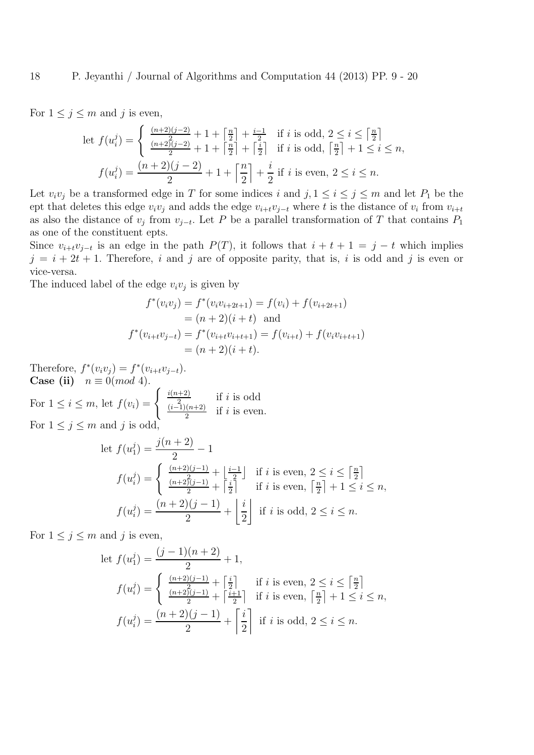For  $1 \leq j \leq m$  and j is even,

$$
\begin{aligned}\n\text{let } f(u_i^j) &= \left\{ \frac{\frac{(n+2)(j-2)}{2} + 1 + \left\lceil \frac{n}{2} \right\rceil + \frac{i-1}{2}}{2} \quad \text{if } i \text{ is odd, } 2 \le i \le \left\lceil \frac{n}{2} \right\rceil \right. \\
&\text{if } i \text{ is odd, } \left\lceil \frac{n}{2} \right\rceil + 1 \le i \le n, \\
f(u_i^j) &= \frac{(n+2)(j-2)}{2} + 1 + \left\lceil \frac{n}{2} \right\rceil + \frac{i}{2} \quad \text{if } i \text{ is even, } 2 \le i \le n.\n\end{aligned}
$$

Let  $v_i v_j$  be a transformed edge in T for some indices i and  $j, 1 \le i \le j \le m$  and let  $P_1$  be the ept that deletes this edge  $v_i v_j$  and adds the edge  $v_{i+t}v_{j-t}$  where t is the distance of  $v_i$  from  $v_{i+t}$ as also the distance of  $v_j$  from  $v_{j-t}$ . Let P be a parallel transformation of T that contains  $P_1$ as one of the constituent epts.

Since  $v_{i+t}v_{j-t}$  is an edge in the path  $P(T)$ , it follows that  $i + t + 1 = j - t$  which implies  $j = i + 2t + 1$ . Therefore, i and j are of opposite parity, that is, i is odd and j is even or vice-versa.

The induced label of the edge  $v_i v_j$  is given by

$$
f^*(v_i v_j) = f^*(v_i v_{i+2t+1}) = f(v_i) + f(v_{i+2t+1})
$$
  
=  $(n+2)(i+t)$  and  

$$
f^*(v_{i+t}v_{j-t}) = f^*(v_{i+t}v_{i+t+1}) = f(v_{i+t}) + f(v_i v_{i+t+1})
$$
  
=  $(n+2)(i+t).$ 

Therefore,  $f^*(v_i v_j) = f^*(v_{i+t}v_{j-t}).$ Case (ii)  $n \equiv 0 \pmod{4}$ .

For  $1 \leq i \leq m$ , let  $f(v_i) = \begin{cases} \frac{i(n+2)}{2} & \text{if } i \leq n, \\ 0 & \text{otherwise} \end{cases}$  $\frac{i+2i}{2}$  if *i* is odd  $(i-1)(n+2)$  $\frac{2^{(n+2)}}{2}$  if *i* is even. For  $1 \leq j \leq m$  and j is odd,

let 
$$
f(u_1^j) = \frac{j(n+2)}{2} - 1
$$
  
\n
$$
f(u_i^j) = \begin{cases} \frac{(n+2)(j-1)}{2} + \left\lfloor \frac{i-1}{2} \right\rfloor & \text{if } i \text{ is even, } 2 \le i \le \left\lfloor \frac{n}{2} \right\rfloor \\ \frac{(n+2)(j-1)}{2} + \left\lfloor \frac{i}{2} \right\rfloor & \text{if } i \text{ is even, } \left\lfloor \frac{n}{2} \right\rfloor + 1 \le i \le n, \\ f(u_i^j) = \frac{(n+2)(j-1)}{2} + \left\lfloor \frac{i}{2} \right\rfloor & \text{if } i \text{ is odd, } 2 \le i \le n. \end{cases}
$$

For  $1 \leq j \leq m$  and j is even,

let 
$$
f(u_1^j) = \frac{(j-1)(n+2)}{2} + 1
$$
,  
\n
$$
f(u_i^j) = \begin{cases} \frac{(n+2)(j-1)}{2} + \left[\frac{i}{2}\right] & \text{if } i \text{ is even, } 2 \le i \le \left[\frac{n}{2}\right] \\ \frac{(n+2)(j-1)}{2} + \left[\frac{i+1}{2}\right] & \text{if } i \text{ is even, } \left[\frac{n}{2}\right] + 1 \le i \le n, \end{cases}
$$
\n
$$
f(u_i^j) = \frac{(n+2)(j-1)}{2} + \left[\frac{i}{2}\right] \text{ if } i \text{ is odd, } 2 \le i \le n.
$$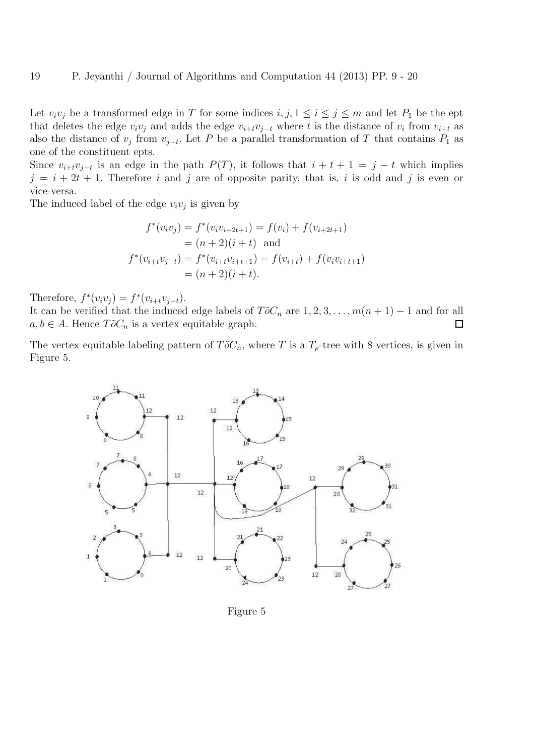Let  $v_i v_j$  be a transformed edge in T for some indices  $i, j, 1 \le i \le j \le m$  and let  $P_1$  be the ept that deletes the edge  $v_i v_j$  and adds the edge  $v_{i+t} v_{j-t}$  where t is the distance of  $v_i$  from  $v_{i+t}$  as also the distance of  $v_j$  from  $v_{j-t}$ . Let P be a parallel transformation of T that contains  $P_1$  as one of the constituent epts.

Since  $v_{i+t}v_{j-t}$  is an edge in the path  $P(T)$ , it follows that  $i + t + 1 = j - t$  which implies  $j = i + 2t + 1$ . Therefore i and j are of opposite parity, that is, i is odd and j is even or vice-versa.

The induced label of the edge  $v_i v_j$  is given by

$$
f^*(v_i v_j) = f^*(v_i v_{i+2t+1}) = f(v_i) + f(v_{i+2t+1})
$$
  
=  $(n+2)(i+t)$  and  

$$
f^*(v_{i+t}v_{j-t}) = f^*(v_{i+t}v_{i+t+1}) = f(v_{i+t}) + f(v_i v_{i+t+1})
$$
  
=  $(n+2)(i+t).$ 

Therefore,  $f^*(v_i v_j) = f^*(v_{i+t} v_{j-t}).$ 

It can be verified that the induced edge labels of  $T\tilde{o}C_n$  are  $1, 2, 3, \ldots, m(n + 1) - 1$  and for all  $a, b \in A$ . Hence  $T\tilde{o}C_n$  is a vertex equitable graph.  $\Box$ 

The vertex equitable labeling pattern of  $T\tilde{o}C_n$ , where T is a  $T_p$ -tree with 8 vertices, is given in Figure 5.



Figure 5